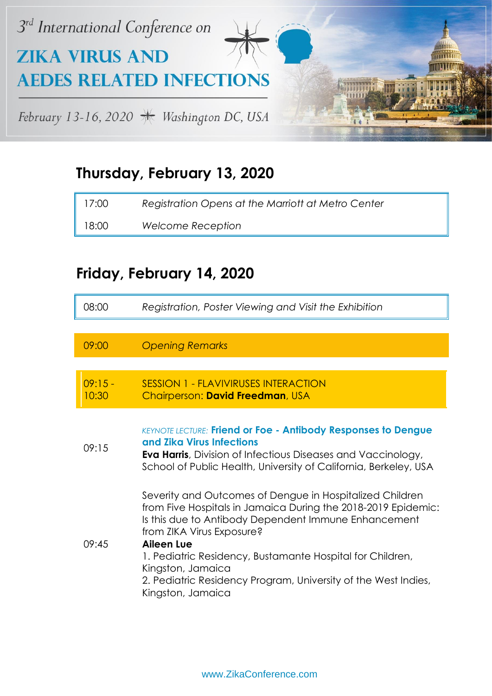

#### **Thursday, February 13, 2020**

| 17:00 | Registration Opens at the Marriott at Metro Center |
|-------|----------------------------------------------------|
| 18:00 | Welcome Reception                                  |

#### **Friday, February 14, 2020**

| 08:00              | Registration, Poster Viewing and Visit the Exhibition                                                                                                                                                                                                                                                                                                                                                        |
|--------------------|--------------------------------------------------------------------------------------------------------------------------------------------------------------------------------------------------------------------------------------------------------------------------------------------------------------------------------------------------------------------------------------------------------------|
|                    |                                                                                                                                                                                                                                                                                                                                                                                                              |
| 09:00              | <b>Opening Remarks</b>                                                                                                                                                                                                                                                                                                                                                                                       |
|                    |                                                                                                                                                                                                                                                                                                                                                                                                              |
| $09:15 -$<br>10:30 | <b>SESSION 1 - FLAVIVIRUSES INTERACTION</b><br>Chairperson: David Freedman, USA                                                                                                                                                                                                                                                                                                                              |
| 09:15              | <b>KEYNOTE LECTURE: Friend or Foe - Antibody Responses to Dengue</b><br>and Zika Virus Infections<br><b>Eva Harris</b> , Division of Infectious Diseases and Vaccinology,<br>School of Public Health, University of California, Berkeley, USA                                                                                                                                                                |
| 09:45              | Severity and Outcomes of Dengue in Hospitalized Children<br>from Five Hospitals in Jamaica During the 2018-2019 Epidemic:<br>Is this due to Antibody Dependent Immune Enhancement<br>from ZIKA Virus Exposure?<br><b>Aileen Lue</b><br>1. Pediatric Residency, Bustamante Hospital for Children,<br>Kingston, Jamaica<br>2. Pediatric Residency Program, University of the West Indies,<br>Kingston, Jamaica |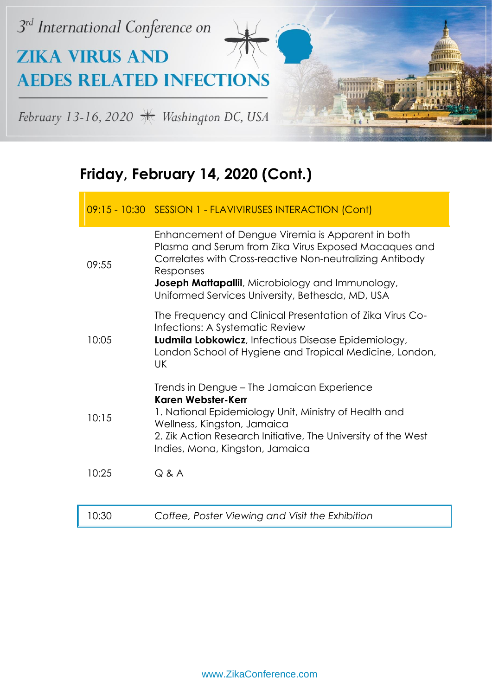

|       | 09:15 - 10:30 SESSION 1 - FLAVIVIRUSES INTERACTION (Cont)                                                                                                                                                                                                                                           |
|-------|-----------------------------------------------------------------------------------------------------------------------------------------------------------------------------------------------------------------------------------------------------------------------------------------------------|
| 09:55 | Enhancement of Dengue Viremia is Apparent in both<br>Plasma and Serum from Zika Virus Exposed Macaques and<br>Correlates with Cross-reactive Non-neutralizing Antibody<br>Responses<br><b>Joseph Mattapallil</b> , Microbiology and Immunology,<br>Uniformed Services University, Bethesda, MD, USA |
| 10:05 | The Frequency and Clinical Presentation of Zika Virus Co-<br>Infections: A Systematic Review<br>Ludmila Lobkowicz, Infectious Disease Epidemiology,<br>London School of Hygiene and Tropical Medicine, London,<br>UK.                                                                               |
| 10:15 | Trends in Dengue – The Jamaican Experience<br>Karen Webster-Kerr<br>1. National Epidemiology Unit, Ministry of Health and<br>Wellness, Kingston, Jamaica<br>2. Zik Action Research Initiative, The University of the West<br>Indies, Mona, Kingston, Jamaica                                        |
| 10:25 | $Q$ & $A$                                                                                                                                                                                                                                                                                           |
| 10:30 | Coffee, Poster Viewing and Visit the Exhibition                                                                                                                                                                                                                                                     |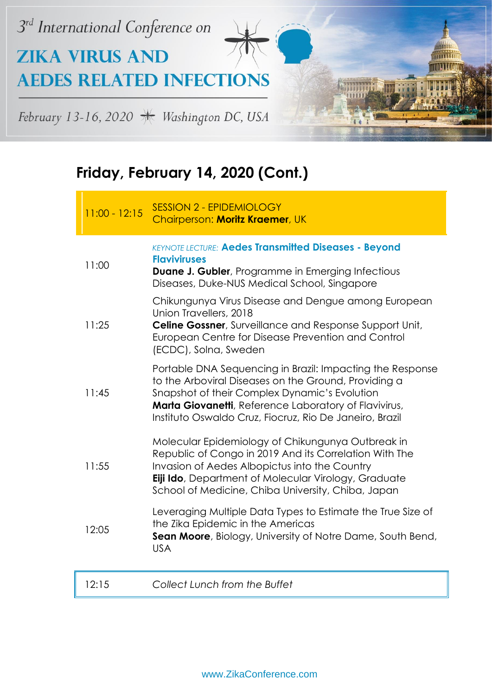

| $11:00 - 12:15$ | <b>SESSION 2 - EPIDEMIOLOGY</b><br>Chairperson: Moritz Kraemer, UK                                                                                                                                                                                                                     |
|-----------------|----------------------------------------------------------------------------------------------------------------------------------------------------------------------------------------------------------------------------------------------------------------------------------------|
| 11:00           | <b>KEYNOTE LECTURE: Aedes Transmitted Diseases - Beyond</b><br><b>Flaviviruses</b><br><b>Duane J. Gubler</b> , Programme in Emerging Infectious<br>Diseases, Duke-NUS Medical School, Singapore                                                                                        |
| 11:25           | Chikungunya Virus Disease and Dengue among European<br>Union Travellers, 2018<br>Celine Gossner, Surveillance and Response Support Unit,<br>European Centre for Disease Prevention and Control<br>(ECDC), Solna, Sweden                                                                |
| 11:45           | Portable DNA Sequencing in Brazil: Impacting the Response<br>to the Arboviral Diseases on the Ground, Providing a<br>Snapshot of their Complex Dynamic's Evolution<br>Marta Giovanetti, Reference Laboratory of Flavivirus,<br>Instituto Oswaldo Cruz, Fiocruz, Rio De Janeiro, Brazil |
| 11:55           | Molecular Epidemiology of Chikungunya Outbreak in<br>Republic of Congo in 2019 And its Correlation With The<br>Invasion of Aedes Albopictus into the Country<br><b>Eiji Ido</b> , Department of Molecular Virology, Graduate<br>School of Medicine, Chiba University, Chiba, Japan     |
| 12:05           | Leveraging Multiple Data Types to Estimate the True Size of<br>the Zika Epidemic in the Americas<br>Sean Moore, Biology, University of Notre Dame, South Bend,<br><b>USA</b>                                                                                                           |
| 12:15           | Collect Lunch from the Buffet                                                                                                                                                                                                                                                          |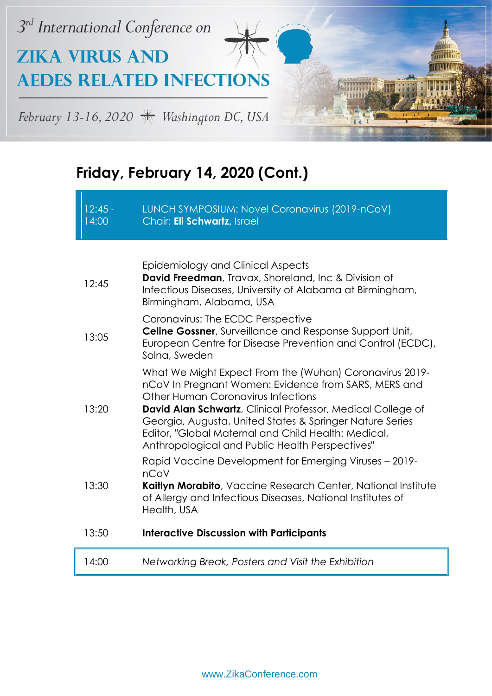

| $12:45 -$<br>14:00 | LUNCH SYMPOSIUM: Novel Coronavirus (2019-nCoV)<br>Chair: Eli Schwartz, Israel                                                                                                                                                                                                                                                                                                                      |
|--------------------|----------------------------------------------------------------------------------------------------------------------------------------------------------------------------------------------------------------------------------------------------------------------------------------------------------------------------------------------------------------------------------------------------|
|                    |                                                                                                                                                                                                                                                                                                                                                                                                    |
| 12:45              | Epidemiology and Clinical Aspects<br><b>David Freedman</b> , Travax, Shoreland, Inc & Division of<br>Infectious Diseases, University of Alabama at Birmingham,<br>Birmingham, Alabama, USA                                                                                                                                                                                                         |
| 13:05              | Coronavirus: The ECDC Perspective<br><b>Celine Gossner</b> , Surveillance and Response Support Unit,<br>European Centre for Disease Prevention and Control (ECDC),<br>Solna, Sweden                                                                                                                                                                                                                |
| 13:20              | What We Might Expect From the (Wuhan) Coronavirus 2019-<br>nCoV In Pregnant Women: Evidence from SARS, MERS and<br>Other Human Coronavirus Infections<br><b>David Alan Schwartz</b> , Clinical Professor, Medical College of<br>Georgia, Augusta, United States & Springer Nature Series<br>Editor, "Global Maternal and Child Health: Medical,<br>Anthropological and Public Health Perspectives" |
| 13:30              | Rapid Vaccine Development for Emerging Viruses - 2019-<br>nCoV<br>Kaitlyn Morabito, Vaccine Research Center, National Institute<br>of Allergy and Infectious Diseases, National Institutes of<br>Health, USA                                                                                                                                                                                       |
| 13:50              | <b>Interactive Discussion with Participants</b>                                                                                                                                                                                                                                                                                                                                                    |
| 14:00              | Networking Break, Posters and Visit the Exhibition                                                                                                                                                                                                                                                                                                                                                 |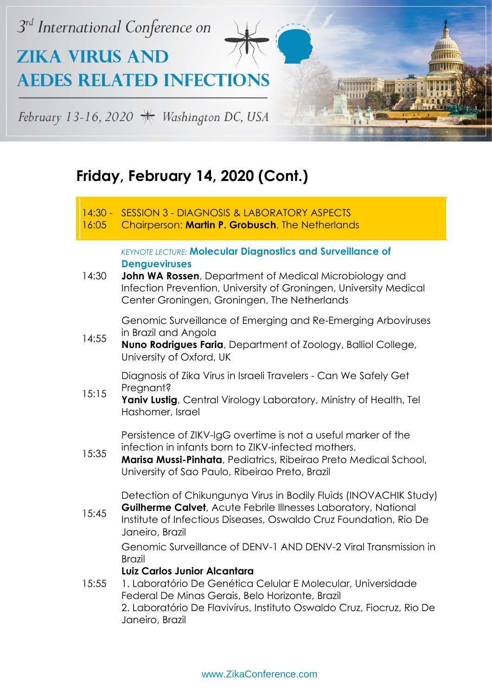

#### 14:30 - SESSION 3 - DIAGNOSIS & LABORATORY ASPECTS

16:05 Chairperson: **Martin P. Grobusch**, The Netherlands

> *KEYNOTE LECTURE:* **Molecular Diagnostics and Surveillance of Dengueviruses**

14:30 **John WA Rossen**, Department of Medical Microbiology and Infection Prevention, University of Groningen, University Medical Center Groningen, Groningen, The Netherlands

> Genomic Surveillance of Emerging and Re-Emerging Arboviruses in Brazil and Angola

14:55 **Nuno Rodrigues Faria**, Department of Zoology, Balliol College, University of Oxford, UK

> Diagnosis of Zika Virus in Israeli Travelers - Can We Safely Get Preanant?

15:15 Yaniv Lustig, Central Virology Laboratory, Ministry of Health, Tel Hashomer, Israel

> Persistence of ZIKV-IgG overtime is not a useful marker of the infection in infants born to ZIKV-infected mothers.

15:35 **Marisa Mussi-Pinhata**, Pediatrics, Ribeirao Preto Medical School, University of Sao Paulo, Ribeirao Preto, Brazil

> Detection of Chikungunya Virus in Bodily Fluids (INOVACHIK Study) **Guilherme Calvet**, Acute Febrile Illnesses Laboratory, National

15:45 Institute of Infectious Diseases, Oswaldo Cruz Foundation, Rio De Janeiro, Brazil

> Genomic Surveillance of DENV-1 AND DENV-2 Viral Transmission in Brazil

#### **Luiz Carlos Junior Alcantara**

15:55 1. Laboratório De Genética Celular E Molecular, Universidade Federal De Minas Gerais, Belo Horizonte, Brazil 2. Laboratório De Flavivírus, Instituto Oswaldo Cruz, Fiocruz, Rio De Janeiro, Brazil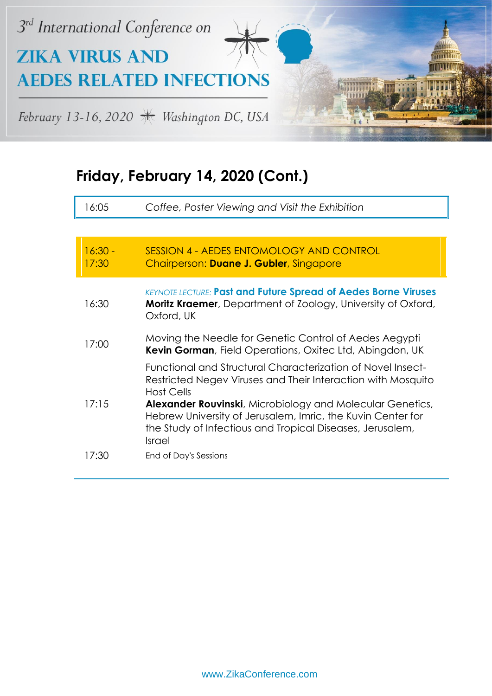

I

| 16:05              | Coffee, Poster Viewing and Visit the Exhibition                                                                                                                                                                                                                                                                                                                          |
|--------------------|--------------------------------------------------------------------------------------------------------------------------------------------------------------------------------------------------------------------------------------------------------------------------------------------------------------------------------------------------------------------------|
|                    |                                                                                                                                                                                                                                                                                                                                                                          |
| $16:30 -$<br>17:30 | SESSION 4 - AEDES ENTOMOLOGY AND CONTROL<br>Chairperson: Duane J. Gubler, Singapore                                                                                                                                                                                                                                                                                      |
| 16:30              | <b>KEYNOTE LECTURE: Past and Future Spread of Aedes Borne Viruses</b><br>Moritz Kraemer, Department of Zoology, University of Oxford,<br>Oxford, UK                                                                                                                                                                                                                      |
| 17:00              | Moving the Needle for Genetic Control of Aedes Aegypti<br>Kevin Gorman, Field Operations, Oxitec Ltd, Abingdon, UK                                                                                                                                                                                                                                                       |
| 17:15              | Functional and Structural Characterization of Novel Insect-<br>Restricted Negev Viruses and Their Interaction with Mosquito<br><b>Host Cells</b><br>Alexander Rouvinski, Microbiology and Molecular Genetics,<br>Hebrew University of Jerusalem, Imric, the Kuvin Center for<br>the Study of Infectious and Tropical Diseases, Jerusalem,<br><i><u><b>Israel</b></u></i> |
| 17:30              | End of Day's Sessions                                                                                                                                                                                                                                                                                                                                                    |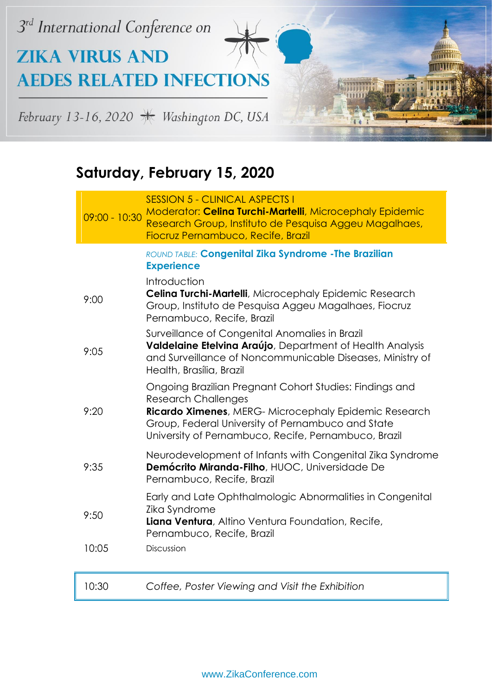

# **Saturday, February 15, 2020**

| $09:00 - 10:30$ | <b>SESSION 5 - CLINICAL ASPECTS I</b><br>Moderator: Celina Turchi-Martelli, Microcephaly Epidemic<br>Research Group, Instituto de Pesquisa Aggeu Magalhaes,<br>Fiocruz Pernambuco, Recife, Brazil                                                           |
|-----------------|-------------------------------------------------------------------------------------------------------------------------------------------------------------------------------------------------------------------------------------------------------------|
|                 | ROUND TABLE: Congenital Zika Syndrome - The Brazilian<br><b>Experience</b>                                                                                                                                                                                  |
| 9:00            | Introduction<br>Celina Turchi-Martelli, Microcephaly Epidemic Research<br>Group, Instituto de Pesquisa Aggeu Magalhaes, Fiocruz<br>Pernambuco, Recife, Brazil                                                                                               |
| 9:05            | Surveillance of Congenital Anomalies in Brazil<br>Valdelaine Etelvina Araújo, Department of Health Analysis<br>and Surveillance of Noncommunicable Diseases, Ministry of<br>Health, Brasília, Brazil                                                        |
| 9:20            | Ongoing Brazilian Pregnant Cohort Studies: Findings and<br><b>Research Challenges</b><br>Ricardo Ximenes, MERG- Microcephaly Epidemic Research<br>Group, Federal University of Pernambuco and State<br>University of Pernambuco, Recife, Pernambuco, Brazil |
| 9:35            | Neurodevelopment of Infants with Congenital Zika Syndrome<br>Demócrito Miranda-Filho, HUOC, Universidade De<br>Pernambuco, Recife, Brazil                                                                                                                   |
| 9:50            | Early and Late Ophthalmologic Abnormalities in Congenital<br>Zika Syndrome<br>Liana Ventura, Altino Ventura Foundation, Recife,<br>Pernambuco, Recife, Brazil                                                                                               |
| 10:05           | Discussion                                                                                                                                                                                                                                                  |
| 10:30           | Coffee, Poster Viewing and Visit the Exhibition                                                                                                                                                                                                             |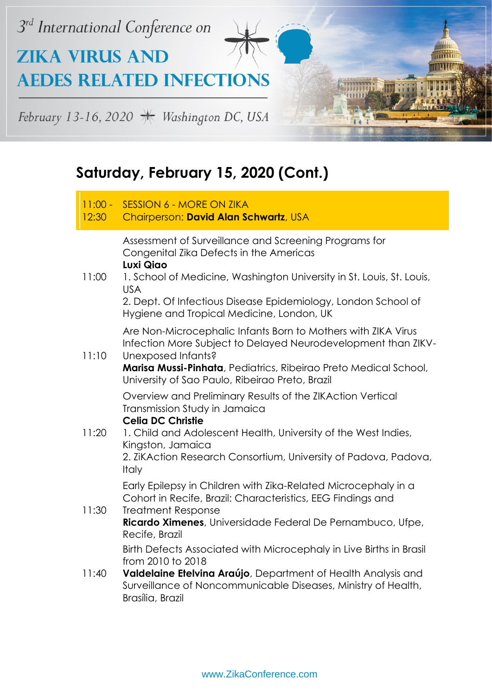

| $11:00 -$<br>12:30 | <b>SESSION 6 - MORE ON ZIKA</b><br>Chairperson: David Alan Schwartz, USA                                                                                                                                                                                                                                                                             |
|--------------------|------------------------------------------------------------------------------------------------------------------------------------------------------------------------------------------------------------------------------------------------------------------------------------------------------------------------------------------------------|
|                    | Assessment of Surveillance and Screening Programs for<br>Congenital Zika Defects in the Americas<br>Luxi Qiao                                                                                                                                                                                                                                        |
| 11:00              | 1. School of Medicine, Washington University in St. Louis, St. Louis,<br><b>USA</b><br>2. Dept. Of Infectious Disease Epidemiology, London School of<br>Hygiene and Tropical Medicine, London, UK                                                                                                                                                    |
| 11:10              | Are Non-Microcephalic Infants Born to Mothers with ZIKA Virus<br>Infection More Subject to Delayed Neurodevelopment than ZIKV-<br>Unexposed Infants?<br>Marisa Mussi-Pinhata, Pediatrics, Ribeirao Preto Medical School,                                                                                                                             |
| 11:20              | University of Sao Paulo, Ribeirao Preto, Brazil<br>Overview and Preliminary Results of the ZIKAction Vertical<br>Transmission Study in Jamaica<br><b>Celia DC Christie</b><br>1. Child and Adolescent Health, University of the West Indies,<br>Kingston, Jamaica<br>2. ZiKAction Research Consortium, University of Padova, Padova,<br><b>Italy</b> |
| 11:30              | Early Epilepsy in Children with Zika-Related Microcephaly in a<br>Cohort in Recife, Brazil: Characteristics, EEG Findings and<br><b>Treatment Response</b><br>Ricardo Ximenes, Universidade Federal De Pernambuco, Ufpe,<br>Recife, Brazil                                                                                                           |
| 11:40              | Birth Defects Associated with Microcephaly in Live Births in Brasil<br>from 2010 to 2018<br>Valdelaine Etelvina Araújo, Department of Health Analysis and<br>Surveillance of Noncommunicable Diseases, Ministry of Health,<br>Brasília, Brazil                                                                                                       |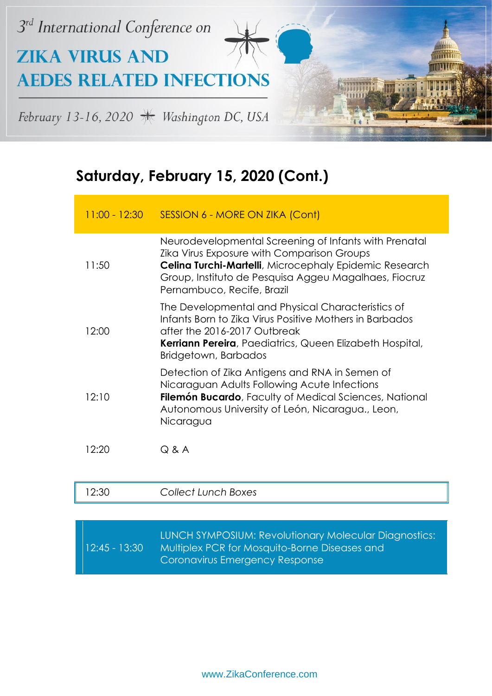

|       | 11:00 - 12:30 SESSION 6 - MORE ON ZIKA (Cont)                                                                                                                                                                                                                       |
|-------|---------------------------------------------------------------------------------------------------------------------------------------------------------------------------------------------------------------------------------------------------------------------|
| 11:50 | Neurodevelopmental Screening of Infants with Prenatal<br><b>Zika Virus Exposure with Comparison Groups</b><br><b>Celina Turchi-Martelli</b> , Microcephaly Epidemic Research<br>Group, Instituto de Pesquisa Aggeu Magalhaes, Fiocruz<br>Pernambuco, Recife, Brazil |
| 12:00 | The Developmental and Physical Characteristics of<br>Infants Born to Zika Virus Positive Mothers in Barbados<br>after the 2016-2017 Outbreak<br><b>Kerriann Pereira</b> , Paediatrics, Queen Elizabeth Hospital,<br>Bridgetown, Barbados                            |
| 12:10 | Detection of Zika Antigens and RNA in Semen of<br>Nicaraguan Adults Following Acute Infections<br><b>Filemón Bucardo</b> , Faculty of Medical Sciences, National<br>Autonomous University of León, Nicaragua., Leon,<br>Nicaragua                                   |
| 12:20 | $Q$ & A                                                                                                                                                                                                                                                             |

| 12:30           | Collect Lunch Boxes                                                                                                                      |
|-----------------|------------------------------------------------------------------------------------------------------------------------------------------|
|                 |                                                                                                                                          |
| $12:45 - 13:30$ | LUNCH SYMPOSIUM: Revolutionary Molecular Diagnostics:<br>Multiplex PCR for Mosquito-Borne Diseases and<br>Coronavirus Emergency Response |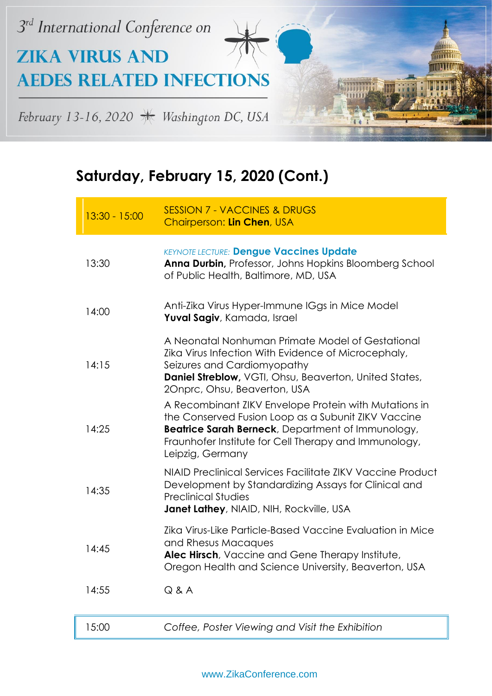

| $13:30 - 15:00$ | <b>SESSION 7 - VACCINES &amp; DRUGS</b><br>Chairperson: Lin Chen, USA                                                                                                                                                                          |
|-----------------|------------------------------------------------------------------------------------------------------------------------------------------------------------------------------------------------------------------------------------------------|
| 13:30           | <b>KEYNOTE LECTURE: Dengue Vaccines Update</b><br>Anna Durbin, Professor, Johns Hopkins Bloomberg School<br>of Public Health, Baltimore, MD, USA                                                                                               |
| 14:00           | Anti-Zika Virus Hyper-Immune IGgs in Mice Model<br>Yuval Sagiv, Kamada, Israel                                                                                                                                                                 |
| 14:15           | A Neonatal Nonhuman Primate Model of Gestational<br>Zika Virus Infection With Evidence of Microcephaly,<br>Seizures and Cardiomyopathy<br>Daniel Streblow, VGTI, Ohsu, Beaverton, United States,<br>20nprc, Ohsu, Beaverton, USA               |
| 14:25           | A Recombinant ZIKV Envelope Protein with Mutations in<br>the Conserved Fusion Loop as a Subunit ZIKV Vaccine<br>Beatrice Sarah Berneck, Department of Immunology,<br>Fraunhofer Institute for Cell Therapy and Immunology,<br>Leipzig, Germany |
| 14:35           | NIAID Preclinical Services Facilitate ZIKV Vaccine Product<br>Development by Standardizing Assays for Clinical and<br><b>Preclinical Studies</b><br>Janet Lathey, NIAID, NIH, Rockville, USA                                                   |
| 14:45           | Zika Virus-Like Particle-Based Vaccine Evaluation in Mice<br>and Rhesus Macaques<br>Alec Hirsch, Vaccine and Gene Therapy Institute,<br>Oregon Health and Science University, Beaverton, USA                                                   |
| 14:55           | Q & A                                                                                                                                                                                                                                          |
| 15:00           | Coffee, Poster Viewing and Visit the Exhibition                                                                                                                                                                                                |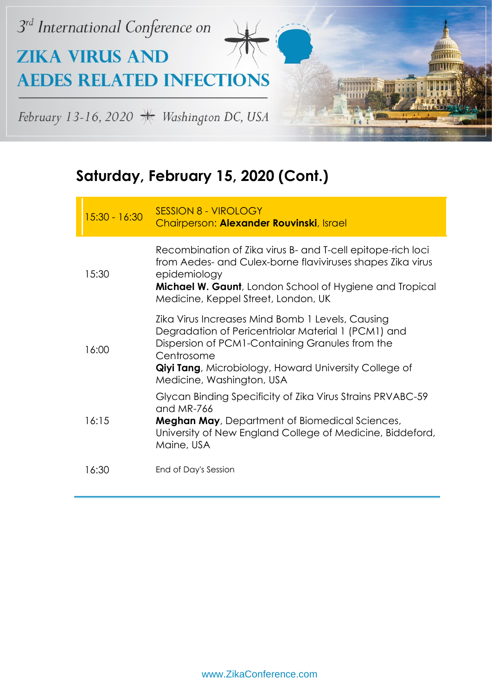

| $15:30 - 16:30$ | <b>SESSION 8 - VIROLOGY</b><br>Chairperson: Alexander Rouvinski, Israel                                                                                                                                                                                                |
|-----------------|------------------------------------------------------------------------------------------------------------------------------------------------------------------------------------------------------------------------------------------------------------------------|
| 15:30           | Recombination of Zika virus B- and T-cell epitope-rich loci<br>from Aedes- and Culex-borne flaviviruses shapes Zika virus<br>epidemiology<br><b>Michael W. Gaunt</b> , London School of Hygiene and Tropical<br>Medicine, Keppel Street, London, UK                    |
| 16:00           | Zika Virus Increases Mind Bomb 1 Levels, Causing<br>Degradation of Pericentriolar Material 1 (PCM1) and<br>Dispersion of PCM1-Containing Granules from the<br>Centrosome<br><b>Qiyi Tang</b> , Microbiology, Howard University College of<br>Medicine, Washington, USA |
| 16:15           | Glycan Binding Specificity of Zika Virus Strains PRVABC-59<br>and MR-766<br><b>Meghan May</b> , Department of Biomedical Sciences,<br>University of New England College of Medicine, Biddeford,<br>Maine, USA                                                          |
| 16:30           | End of Day's Session                                                                                                                                                                                                                                                   |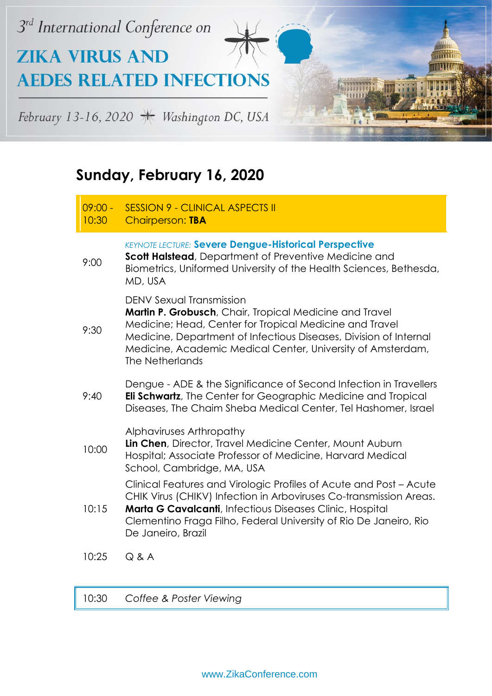

|  | Sunday, February 16, 2020 |  |  |
|--|---------------------------|--|--|
|--|---------------------------|--|--|

| $09:00 -$<br>10:30 | <b>SESSION 9 - CLINICAL ASPECTS II</b><br><b>Chairperson: TBA</b>                                                                                                                                                                                                                                     |
|--------------------|-------------------------------------------------------------------------------------------------------------------------------------------------------------------------------------------------------------------------------------------------------------------------------------------------------|
| 9:00               | <b>KEYNOTE LECTURE: Severe Dengue-Historical Perspective</b><br>Scott Halstead, Department of Preventive Medicine and<br>Biometrics, Uniformed University of the Health Sciences, Bethesda,<br>MD, USA                                                                                                |
| 9:30               | DENV Sexual Transmission<br>Martin P. Grobusch, Chair, Tropical Medicine and Travel<br>Medicine; Head, Center for Tropical Medicine and Travel<br>Medicine, Department of Infectious Diseases, Division of Internal<br>Medicine, Academic Medical Center, University of Amsterdam,<br>The Netherlands |
| 9:40               | Dengue - ADE & the Significance of Second Infection in Travellers<br><b>Eli Schwartz</b> , The Center for Geographic Medicine and Tropical<br>Diseases, The Chaim Sheba Medical Center, Tel Hashomer, Israel                                                                                          |
| 10:00              | Alphaviruses Arthropathy<br>Lin Chen, Director, Travel Medicine Center, Mount Auburn<br>Hospital; Associate Professor of Medicine, Harvard Medical<br>School, Cambridge, MA, USA                                                                                                                      |
| 10:15              | Clinical Features and Virologic Profiles of Acute and Post - Acute<br>CHIK Virus (CHIKV) Infection in Arboviruses Co-transmission Areas.<br>Marta G Cavalcanti, Infectious Diseases Clinic, Hospital<br>Clementino Fraga Filho, Federal University of Rio De Janeiro, Rio<br>De Janeiro, Brazil       |
| 10:25              | Q & A                                                                                                                                                                                                                                                                                                 |

10:30 *Coffee & Poster Viewing*